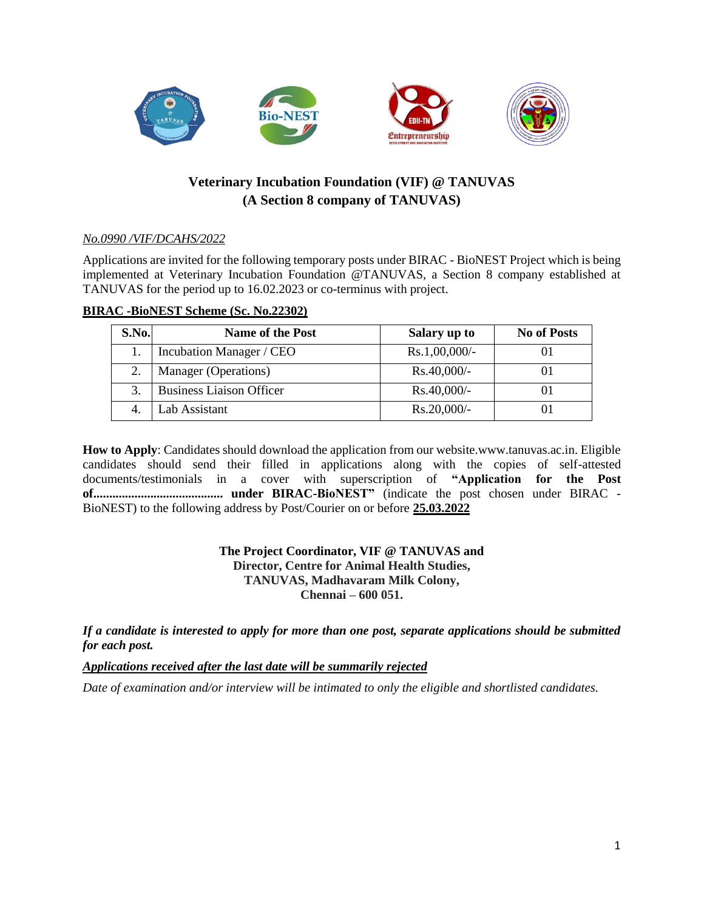

# **Veterinary Incubation Foundation (VIF) @ TANUVAS (A Section 8 company of TANUVAS)**

# *No.0990 /VIF/DCAHS/2022*

Applications are invited for the following temporary posts under BIRAC - BioNEST Project which is being implemented at Veterinary Incubation Foundation @TANUVAS, a Section 8 company established at TANUVAS for the period up to 16.02.2023 or co-terminus with project.

#### **BIRAC -BioNEST Scheme (Sc. No.22302)**

| <b>S.No.</b> | <b>Name of the Post</b>         | Salary up to     | <b>No of Posts</b> |
|--------------|---------------------------------|------------------|--------------------|
|              | Incubation Manager / CEO        | $Rs.1,00,000/$ - |                    |
|              | Manager (Operations)            | $Rs.40,000/$ -   |                    |
|              | <b>Business Liaison Officer</b> | $Rs.40,000/$ -   |                    |
|              | Lab Assistant                   | $Rs.20,000/-$    |                    |

**How to Apply**: Candidates should download the application from our website.www.tanuvas.ac.in. Eligible candidates should send their filled in applications along with the copies of self-attested documents/testimonials in a cover with superscription of **"Application for the Post of......................................... under BIRAC-BioNEST"** (indicate the post chosen under BIRAC - BioNEST) to the following address by Post/Courier on or before **25.03.2022**

## **The Project Coordinator, VIF @ TANUVAS and Director, Centre for Animal Health Studies, TANUVAS, Madhavaram Milk Colony, Chennai – 600 051.**

*If a candidate is interested to apply for more than one post, separate applications should be submitted for each post.*

*Applications received after the last date will be summarily rejected*

*Date of examination and/or interview will be intimated to only the eligible and shortlisted candidates.*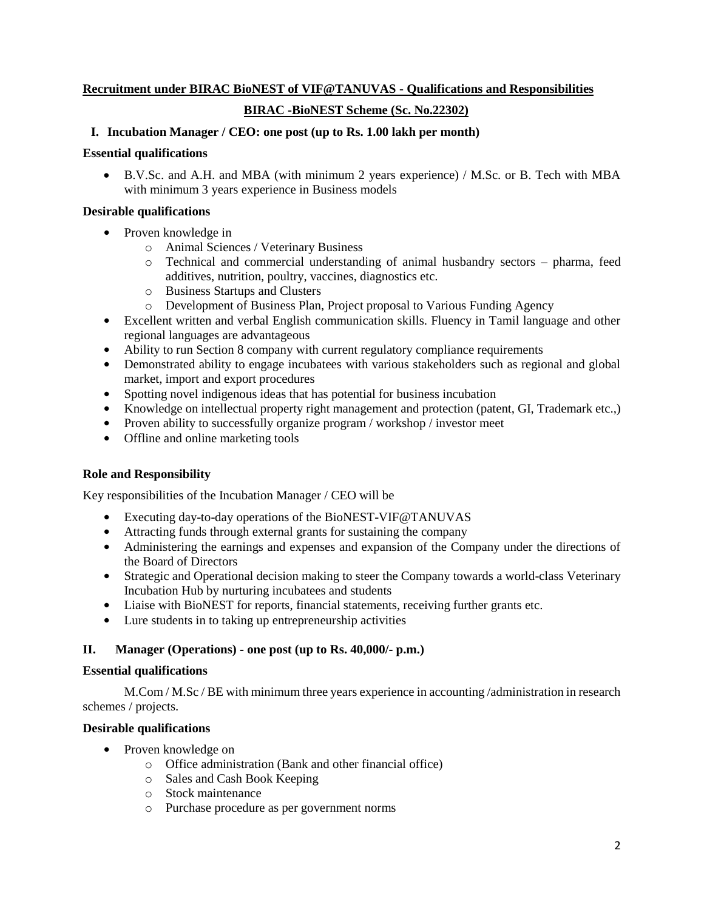# **Recruitment under BIRAC BioNEST of VIF@TANUVAS - Qualifications and Responsibilities**

# **BIRAC -BioNEST Scheme (Sc. No.22302)**

## **I. Incubation Manager / CEO: one post (up to Rs. 1.00 lakh per month)**

## **Essential qualifications**

 B.V.Sc. and A.H. and MBA (with minimum 2 years experience) / M.Sc. or B. Tech with MBA with minimum 3 years experience in Business models

## **Desirable qualifications**

- Proven knowledge in
	- o Animal Sciences / Veterinary Business
	- o Technical and commercial understanding of animal husbandry sectors pharma, feed additives, nutrition, poultry, vaccines, diagnostics etc.
	- o Business Startups and Clusters
	- o Development of Business Plan, Project proposal to Various Funding Agency
- Excellent written and verbal English communication skills. Fluency in Tamil language and other regional languages are advantageous
- Ability to run Section 8 company with current regulatory compliance requirements
- Demonstrated ability to engage incubatees with various stakeholders such as regional and global market, import and export procedures
- **•** Spotting novel indigenous ideas that has potential for business incubation
- Knowledge on intellectual property right management and protection (patent, GI, Trademark etc.,)
- **•** Proven ability to successfully organize program / workshop / investor meet
- **•** Offline and online marketing tools

# **Role and Responsibility**

Key responsibilities of the Incubation Manager / CEO will be

- **•** Executing day-to-day operations of the BioNEST-VIF@TANUVAS
- **•** Attracting funds through external grants for sustaining the company
- **•** Administering the earnings and expenses and expansion of the Company under the directions of the Board of Directors
- Strategic and Operational decision making to steer the Company towards a world-class Veterinary Incubation Hub by nurturing incubatees and students
- **•** Liaise with BioNEST for reports, financial statements, receiving further grants etc.
- **•** Lure students in to taking up entrepreneurship activities

# **II. Manager (Operations) - one post (up to Rs. 40,000/- p.m.)**

### **Essential qualifications**

M.Com / M.Sc / BE with minimum three years experience in accounting /administration in research schemes / projects.

# **Desirable qualifications**

- Proven knowledge on
	- o Office administration (Bank and other financial office)
	- o Sales and Cash Book Keeping
	- o Stock maintenance
	- o Purchase procedure as per government norms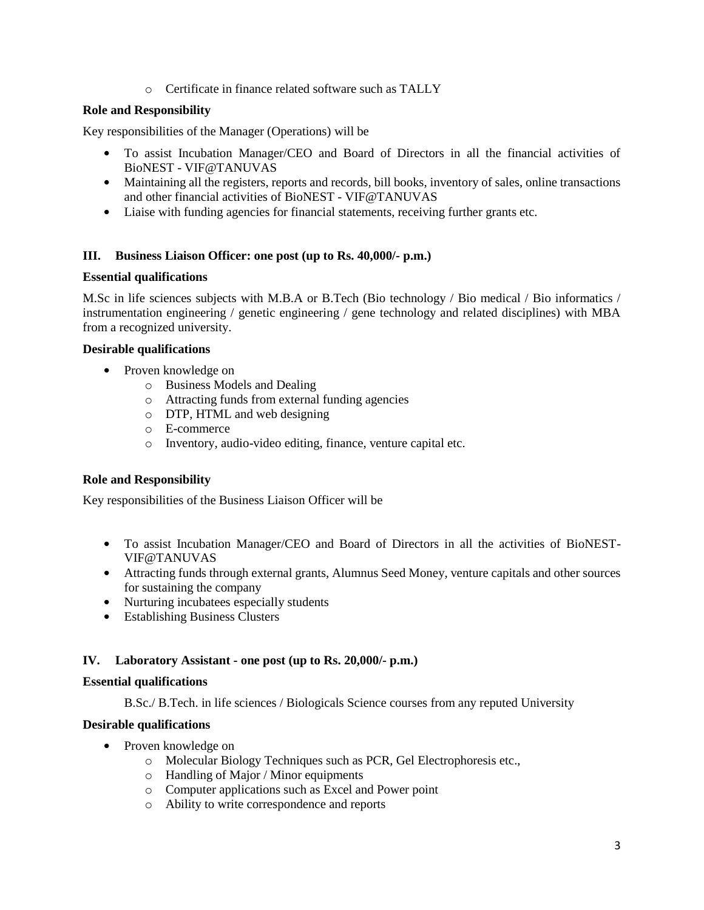o Certificate in finance related software such as TALLY

# **Role and Responsibility**

Key responsibilities of the Manager (Operations) will be

- **•** To assist Incubation Manager/CEO and Board of Directors in all the financial activities of BioNEST - VIF@TANUVAS
- Maintaining all the registers, reports and records, bill books, inventory of sales, online transactions and other financial activities of BioNEST - VIF@TANUVAS
- Liaise with funding agencies for financial statements, receiving further grants etc.

## **III. Business Liaison Officer: one post (up to Rs. 40,000/- p.m.)**

### **Essential qualifications**

M.Sc in life sciences subjects with M.B.A or B.Tech (Bio technology / Bio medical / Bio informatics / instrumentation engineering / genetic engineering / gene technology and related disciplines) with MBA from a recognized university.

### **Desirable qualifications**

- **•** Proven knowledge on
	- o Business Models and Dealing
	- o Attracting funds from external funding agencies
	- o DTP, HTML and web designing
	- o E-commerce
	- o Inventory, audio-video editing, finance, venture capital etc.

### **Role and Responsibility**

Key responsibilities of the Business Liaison Officer will be

- **•** To assist Incubation Manager/CEO and Board of Directors in all the activities of BioNEST-VIF@TANUVAS
- Attracting funds through external grants, Alumnus Seed Money, venture capitals and other sources for sustaining the company
- **•** Nurturing incubatees especially students
- **•** Establishing Business Clusters

### **IV. Laboratory Assistant - one post (up to Rs. 20,000/- p.m.)**

### **Essential qualifications**

B.Sc./ B.Tech. in life sciences / Biologicals Science courses from any reputed University

### **Desirable qualifications**

- **•** Proven knowledge on
	- o Molecular Biology Techniques such as PCR, Gel Electrophoresis etc.,
	- o Handling of Major / Minor equipments
	- o Computer applications such as Excel and Power point
	- o Ability to write correspondence and reports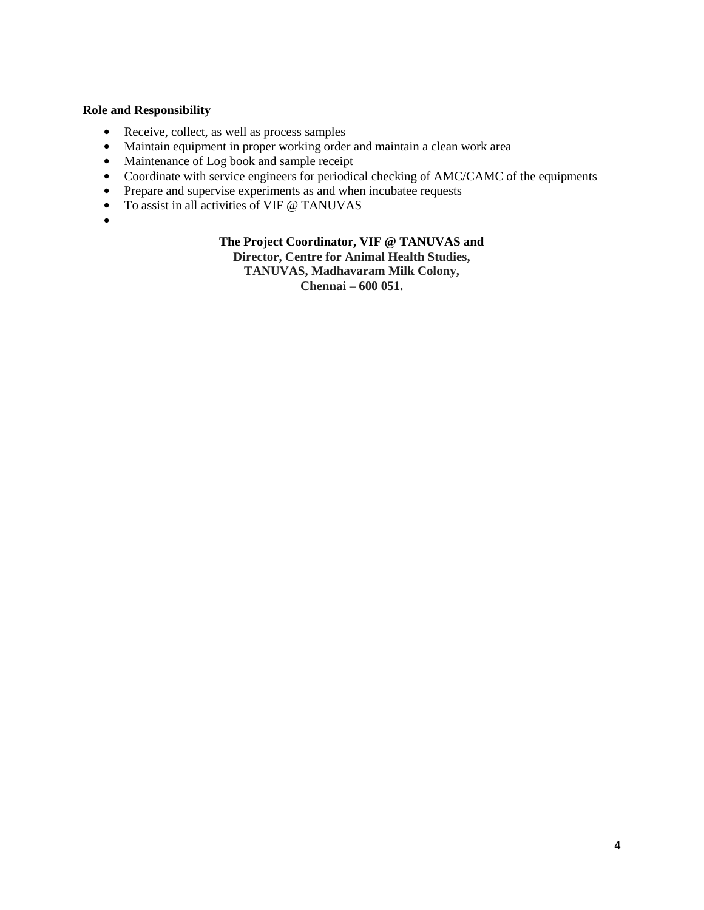# **Role and Responsibility**

- **•** Receive, collect, as well as process samples
- Maintain equipment in proper working order and maintain a clean work area
- Maintenance of Log book and sample receipt
- **•** Coordinate with service engineers for periodical checking of AMC/CAMC of the equipments
- Prepare and supervise experiments as and when incubatee requests
- **•** To assist in all activities of VIF @ TANUVAS
- **•**

## **The Project Coordinator, VIF @ TANUVAS and**

**Director, Centre for Animal Health Studies,**

**TANUVAS, Madhavaram Milk Colony,**

**Chennai – 600 051.**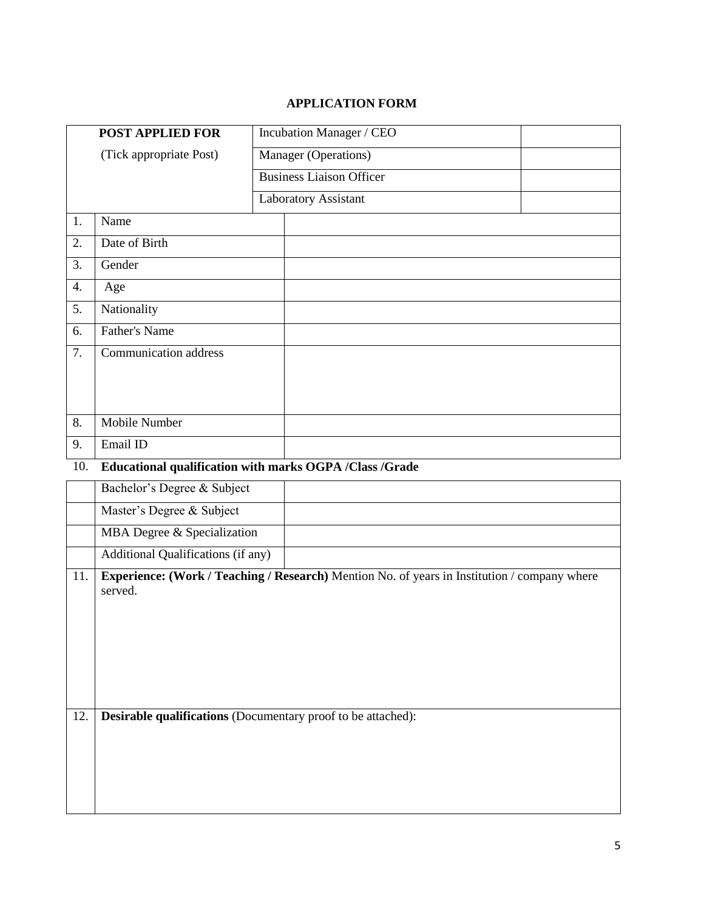# **APPLICATION FORM**

|     | <b>POST APPLIED FOR</b>            | Incubation Manager / CEO                                                                     |  |
|-----|------------------------------------|----------------------------------------------------------------------------------------------|--|
|     | (Tick appropriate Post)            | Manager (Operations)                                                                         |  |
|     |                                    | <b>Business Liaison Officer</b>                                                              |  |
|     |                                    | <b>Laboratory Assistant</b>                                                                  |  |
| 1.  | Name                               |                                                                                              |  |
| 2.  | Date of Birth                      |                                                                                              |  |
| 3.  | Gender                             |                                                                                              |  |
| 4.  | Age                                |                                                                                              |  |
| 5.  | Nationality                        |                                                                                              |  |
| 6.  | <b>Father's Name</b>               |                                                                                              |  |
| 7.  | <b>Communication address</b>       |                                                                                              |  |
|     |                                    |                                                                                              |  |
|     |                                    |                                                                                              |  |
| 8.  | <b>Mobile Number</b>               |                                                                                              |  |
| 9.  | Email ID                           |                                                                                              |  |
| 10. |                                    | Educational qualification with marks OGPA /Class /Grade                                      |  |
|     | Bachelor's Degree & Subject        |                                                                                              |  |
|     |                                    |                                                                                              |  |
|     | Master's Degree & Subject          |                                                                                              |  |
|     | MBA Degree & Specialization        |                                                                                              |  |
|     | Additional Qualifications (if any) |                                                                                              |  |
| 11. | served.                            | Experience: (Work / Teaching / Research) Mention No. of years in Institution / company where |  |
|     |                                    |                                                                                              |  |
|     |                                    |                                                                                              |  |
|     |                                    |                                                                                              |  |
|     |                                    |                                                                                              |  |
|     |                                    |                                                                                              |  |
| 12. |                                    | Desirable qualifications (Documentary proof to be attached):                                 |  |